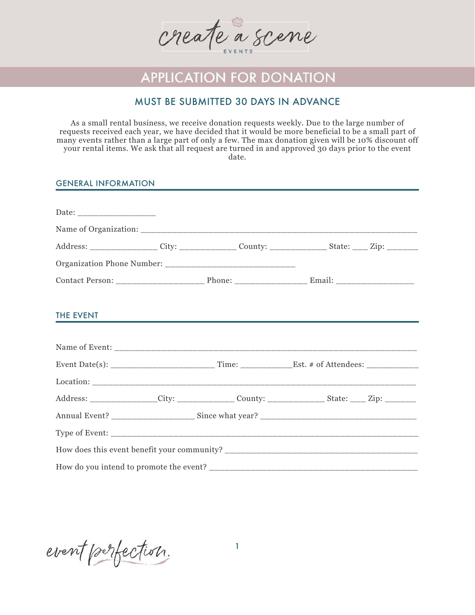

# **APPLICATION FOR DONATION**

## MUST BE SUBMITTED 30 DAYS IN ADVANCE

As a small rental business, we receive donation requests weekly. Due to the large number of requests received each year, we have decided that it would be more beneficial to be a small part of many events rather than a large part of only a few. The max donation given will be 10% discount off your rental items. We ask that all request are turned in and approved 30 days prior to the event date.

#### GENERAL INFORMATION

|  | Address: _________________City: _______________County: _________________State: _____Zip: __________ |
|--|-----------------------------------------------------------------------------------------------------|
|  |                                                                                                     |
|  |                                                                                                     |
|  | THE EVENT <b>THE EVENT</b>                                                                          |
|  |                                                                                                     |
|  |                                                                                                     |
|  |                                                                                                     |
|  | Address: _______________City: ________________County: __________________State: _____Zip: __________ |
|  |                                                                                                     |
|  |                                                                                                     |
|  |                                                                                                     |
|  |                                                                                                     |

event perfection.